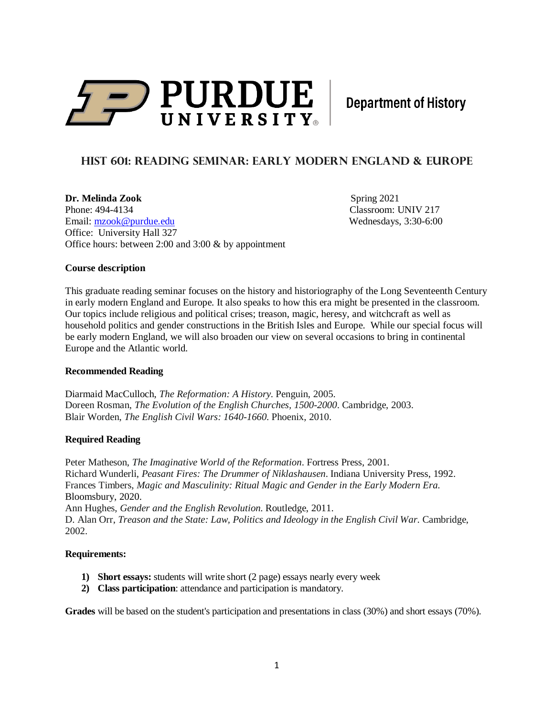

**Department of History** 

# **HIST 601: READING SEMINAR: EARLY MODERN ENGLAND & Europe**

**Dr. Melinda Zook** Spring 2021 Phone: 494-4134 Classroom: UNIV 217 Email: [mzook@purdue.edu](mailto:mzook@purdue.edu) Wednesdays, 3:30-6:00 Office: University Hall 327 Office hours: between 2:00 and 3:00 & by appointment

## **Course description**

This graduate reading seminar focuses on the history and historiography of the Long Seventeenth Century in early modern England and Europe. It also speaks to how this era might be presented in the classroom. Our topics include religious and political crises; treason, magic, heresy, and witchcraft as well as household politics and gender constructions in the British Isles and Europe. While our special focus will be early modern England, we will also broaden our view on several occasions to bring in continental Europe and the Atlantic world.

### **Recommended Reading**

[Diarmaid MacCulloch,](https://www.amazon.com/Diarmaid-MacCulloch/e/B001IOBNT4/ref=dp_byline_cont_book_1) *The Reformation: A History*. Penguin, 2005. Doreen Rosman, *The Evolution of the English Churches, 1500-2000*. Cambridge, 2003. Blair Worden, *The English Civil Wars: 1640-1660*. Phoenix, 2010.

# **Required Reading**

Peter Matheson, *The Imaginative World of the Reformation*. Fortress Press, 2001. Richard Wunderli, *Peasant Fires: The Drummer of Niklashausen*. Indiana University Press, 1992. Frances Timbers, *Magic and Masculinity: Ritual Magic and Gender in the Early Modern Era*. Bloomsbury, 2020. Ann Hughes, *Gender and the English Revolution*. Routledge, 2011. D. Alan Orr, *Treason and the State: Law, Politics and Ideology in the English Civil War*. Cambridge, 2002.

### **Requirements:**

- **1) Short essays:** students will write short (2 page) essays nearly every week
- **2) Class participation**: attendance and participation is mandatory.

**Grades** will be based on the student's participation and presentations in class (30%) and short essays (70%).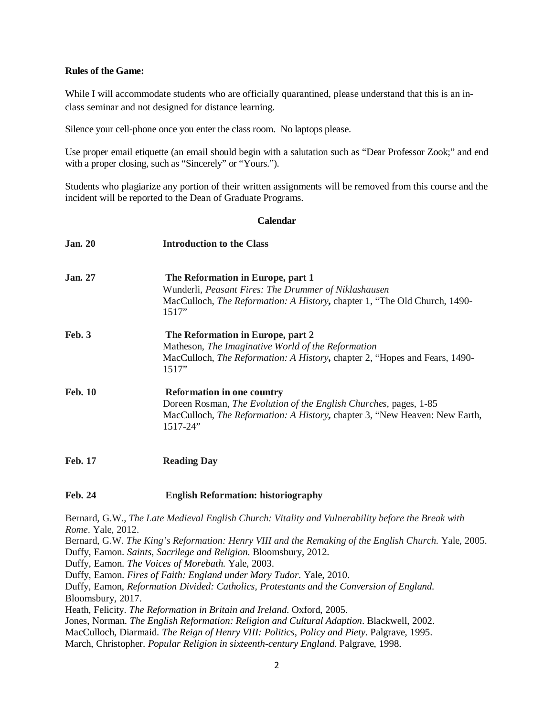## **Rules of the Game:**

While I will accommodate students who are officially quarantined, please understand that this is an inclass seminar and not designed for distance learning.

Silence your cell-phone once you enter the class room. No laptops please.

Use proper email etiquette (an email should begin with a salutation such as "Dear Professor Zook;" and end with a proper closing, such as "Sincerely" or "Yours.").

Students who plagiarize any portion of their written assignments will be removed from this course and the incident will be reported to the Dean of Graduate Programs.

### **Calendar**

| <b>Jan. 20</b> | <b>Introduction to the Class</b>                                                                                                                                                                              |
|----------------|---------------------------------------------------------------------------------------------------------------------------------------------------------------------------------------------------------------|
| <b>Jan.</b> 27 | The Reformation in Europe, part 1<br>Wunderli, Peasant Fires: The Drummer of Niklashausen                                                                                                                     |
|                | MacCulloch, <i>The Reformation: A History</i> , chapter 1, "The Old Church, 1490-<br>1517"                                                                                                                    |
| Feb. 3         | The Reformation in Europe, part 2<br>Matheson, The Imaginative World of the Reformation<br>MacCulloch, The Reformation: A History, chapter 2, "Hopes and Fears, 1490-<br>1517"                                |
| <b>Feb. 10</b> | <b>Reformation in one country</b><br>Doreen Rosman, The Evolution of the English Churches, pages, 1-85<br>MacCulloch, <i>The Reformation: A History</i> , chapter 3, "New Heaven: New Earth,<br>$1517 - 24$ " |
| <b>Feb. 17</b> | <b>Reading Day</b>                                                                                                                                                                                            |

## **Feb. 24 English Reformation: historiography**

Bernard, G.W., *The Late Medieval English Church: Vitality and Vulnerability before the Break with Rome*. Yale, 2012.

Bernard, G.W. *The King's Reformation: Henry VIII and the Remaking of the English Church*. Yale, 2005. Duffy, Eamon. *Saints, Sacrilege and Religion*. Bloomsbury, 2012.

Duffy, Eamon. *The Voices of Morebath*. Yale, 2003.

Duffy, Eamon. *Fires of Faith: England under Mary Tudor*. Yale, 2010.

Duffy, Eamon, *Reformation Divided: Catholics, Protestants and the Conversion of England.*  Bloomsbury, 2017.

Heath, Felicity. *The Reformation in Britain and Ireland*. Oxford, 2005.

Jones, Norman. *The English Reformation: Religion and Cultural Adaption*. Blackwell, 2002.

MacCulloch, Diarmaid. *The Reign of Henry VIII: Politics, Policy and Piety*. Palgrave, 1995.

March, Christopher. *Popular Religion in sixteenth-century England*. Palgrave, 1998.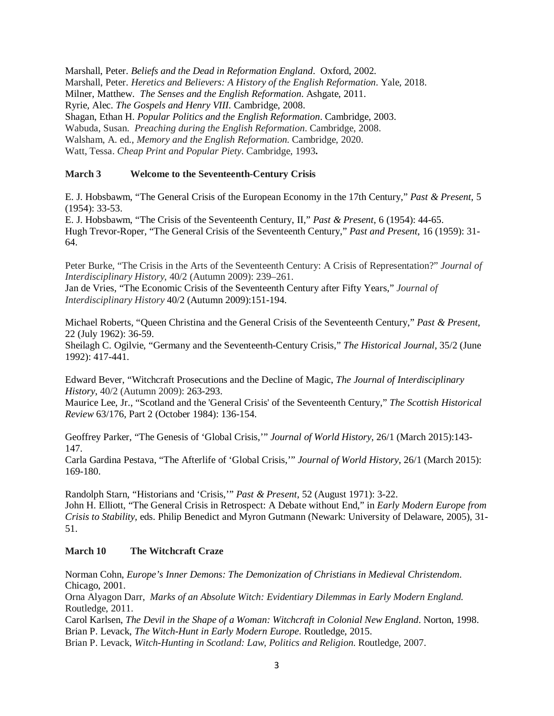Marshall, Peter. *Beliefs and the Dead in Reformation England*. Oxford, 2002. Marshall, Peter. *Heretics and Believers: A History of the English Reformation*. Yale, 2018. Milner, Matthew. *The Senses and the English Reformation*. Ashgate, 2011. Ryrie, Alec. *The Gospels and Henry VIII*. Cambridge, 2008. Shagan, Ethan H. *Popular Politics and the English Reformation*. Cambridge, 2003. Wabuda, Susan. *Preaching during the English Reformation*. Cambridge, 2008. Walsham, A. ed., *Memory and the English Reformation*. Cambridge, 2020. Watt, Tessa. *Cheap Print and Popular Piety*. Cambridge, 1993**.**

## **March 3 Welcome to the Seventeenth-Century Crisis**

E. J. Hobsbawm, "The General Crisis of the European Economy in the 17th Century," *Past & Present*, 5 (1954): 33-53.

E. J. Hobsbawm, "The Crisis of the Seventeenth Century, II," *Past & Present*, 6 (1954): 44-65. Hugh Trevor-Roper, "The General Crisis of the Seventeenth Century," *Past and Present*, 16 (1959): 31- 64.

Peter Burke, "The Crisis in the Arts of the Seventeenth Century: A Crisis of Representation?" *Journal of Interdisciplinary History*, 40/2 (Autumn 2009): 239–261.

Jan de Vries, "The Economic Crisis of the Seventeenth Century after Fifty Years," *Journal of Interdisciplinary History* 40/2 (Autumn 2009):151-194.

Michael Roberts, "Queen Christina and the General Crisis of the Seventeenth Century," *Past & Present*, 22 (July 1962): 36-59.

Sheilagh C. Ogilvie, "Germany and the Seventeenth-Century Crisis," *The Historical Journal*, 35/2 (June 1992): 417-441.

Edward Bever, "Witchcraft Prosecutions and the Decline of Magic, *The Journal of Interdisciplinary History*, 40/2 (Autumn 2009): 263-293.

Maurice Lee, Jr., "Scotland and the 'General Crisis' of the Seventeenth Century," *The Scottish Historical Review* 63/176, Part 2 (October 1984): 136-154.

Geoffrey Parker, "The Genesis of 'Global Crisis,'" *Journal of World History*, 26/1 (March 2015):143- 147.

Carla Gardina Pestava, "The Afterlife of 'Global Crisis,'" *Journal of World History*, 26/1 (March 2015): 169-180.

Randolph Starn, "Historians and 'Crisis,'" *Past & Present*, 52 (August 1971): 3-22. John H. Elliott, "The General Crisis in Retrospect: A Debate without End," in *Early Modern Europe from Crisis to Stability*, eds. Philip Benedict and Myron Gutmann (Newark: University of Delaware, 2005), 31- 51.

# **March 10 The Witchcraft Craze**

Norman Cohn, *Europe's Inner Demons: The Demonization of Christians in Medieval Christendom*. Chicago, 2001.

Orna Alyagon Darr, *Marks of an Absolute Witch: Evidentiary Dilemmas in Early Modern England*. Routledge, 2011.

Carol Karlsen, *The Devil in the Shape of a Woman: Witchcraft in Colonial New England*. Norton, 1998. Brian P. Levack, *The Witch-Hunt in Early Modern Europe*. Routledge, 2015.

Brian P. Levack, *Witch-Hunting in Scotland: Law, Politics and Religion*. Routledge, 2007.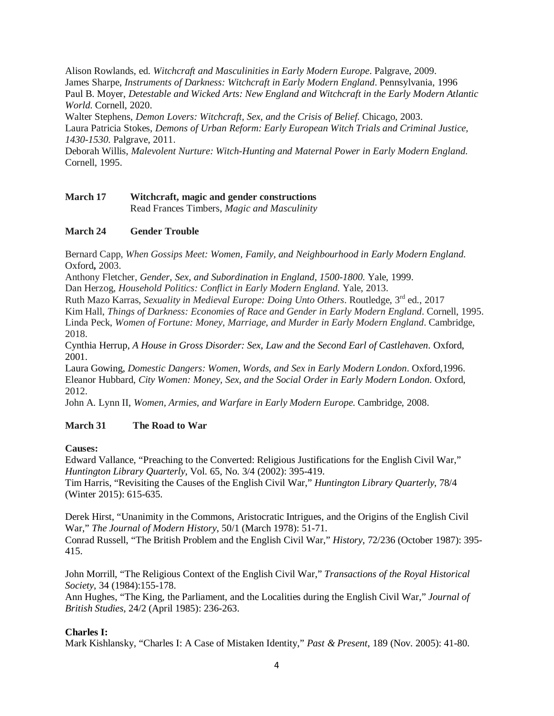Alison Rowlands, ed. *Witchcraft and Masculinities in Early Modern Europe*. Palgrave, 2009. James Sharpe, *Instruments of Darkness: Witchcraft in Early Modern England*. Pennsylvania, 1996 Paul B. Moyer, *Detestable and Wicked Arts: New England and Witchcraft in the Early Modern Atlantic World*. Cornell, 2020.

Walter Stephens, *Demon Lovers: Witchcraft, Sex, and the Crisis of Belief*. Chicago, 2003. Laura Patricia Stokes, *Demons of Urban Reform: Early European Witch Trials and Criminal Justice, 1430-1530.* Palgrave, 2011.

Deborah Willis, *Malevolent Nurture: Witch-Hunting and Maternal Power in Early Modern England*. Cornell, 1995.

# **March 17 Witchcraft, magic and gender constructions** Read Frances Timbers, *Magic and Masculinity*

# **March 24 Gender Trouble**

Bernard Capp, *When Gossips Meet: Women, Family, and Neighbourhood in Early Modern England*. Oxford**,** 2003.

Anthony Fletcher, *Gender, Sex, and Subordination in England, 1500-1800*. Yale, 1999.

Dan Herzog, *Household Politics: Conflict in Early Modern England*. Yale, 2013.

Ruth Mazo Karras, *Sexuality in Medieval Europe: Doing Unto Others*. Routledge, 3rd ed., 2017

Kim Hall, *Things of Darkness: Economies of Race and Gender in Early Modern England*. Cornell, 1995. Linda Peck, *Women of Fortune: Money, Marriage, and Murder in Early Modern England*. Cambridge, 2018.

Cynthia Herrup, *A House in Gross Disorder: Sex, Law and the Second Earl of Castlehaven*. Oxford, 2001.

Laura Gowing, *Domestic Dangers: Women, Words, and Sex in Early Modern London*. Oxford,1996. Eleanor Hubbard, *City Women: Money, Sex, and the Social Order in Early Modern London*. Oxford, 2012.

John A. Lynn II, *Women, Armies, and Warfare in Early Modern Europe*. Cambridge, 2008.

# **March 31 The Road to War**

# **Causes:**

Edward Vallance, "Preaching to the Converted: Religious Justifications for the English Civil War," *Huntington Library Quarterly*, Vol. 65, No. 3/4 (2002): 395-419.

Tim Harris, "Revisiting the Causes of the English Civil War," *Huntington Library Quarterly*, 78/4 (Winter 2015): 615-635.

Derek Hirst, "Unanimity in the Commons, Aristocratic Intrigues, and the Origins of the English Civil War," *The Journal of Modern History*, 50/1 (March 1978): 51-71.

Conrad Russell, "The British Problem and the English Civil War," *History*, 72/236 (October 1987): 395- 415.

John Morrill, "The Religious Context of the English Civil War," *Transactions of the Royal Historical Society*, 34 (1984):155-178.

Ann Hughes, "The King, the Parliament, and the Localities during the English Civil War," *Journal of British Studies*, 24/2 (April 1985): 236-263.

# **Charles I:**

Mark Kishlansky, "Charles I: A Case of Mistaken Identity," *Past & Present*, 189 (Nov. 2005): 41-80.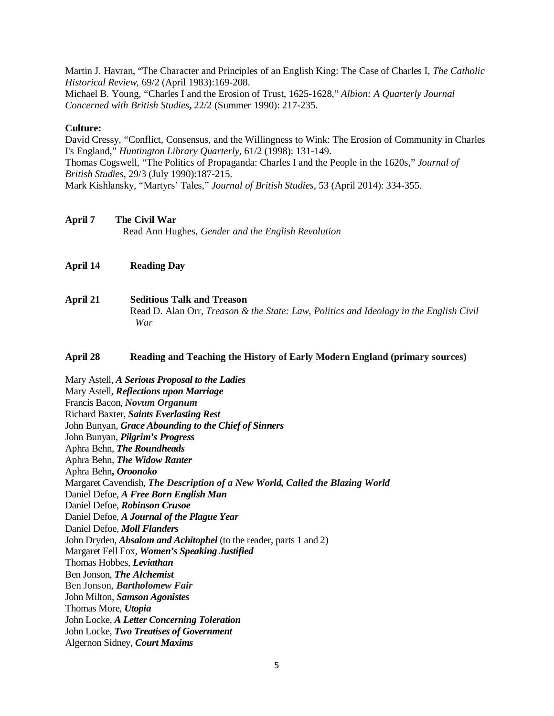Martin J. Havran, "The Character and Principles of an English King: The Case of Charles I, *The Catholic Historical Review,* 69/2 (April 1983):169-208.

Michael B. Young, "Charles I and the Erosion of Trust, 1625-1628," *Albion: A Quarterly Journal Concerned with British Studies***,** 22/2 (Summer 1990): 217-235.

#### **Culture:**

David Cressy, "Conflict, Consensus, and the Willingness to Wink: The Erosion of Community in Charles I's England," *Huntington Library Quarterly,* 61/2 (1998): 131-149. Thomas Cogswell, "The Politics of Propaganda: Charles I and the People in the 1620s," *Journal of British Studies,* 29/3 (July 1990):187-215. Mark Kishlansky, "Martyrs' Tales," *Journal of British Studies*, 53 (April 2014): 334-355.

- **April 7 The Civil War** Read Ann Hughes, *Gender and the English Revolution*
- **April 14 Reading Day**
- **April 21 Seditious Talk and Treason** Read D. Alan Orr, *Treason & the State: Law, Politics and Ideology in the English Civil War*

#### **April 28 Reading and Teaching the History of Early Modern England (primary sources)**

Mary Astell, *A Serious Proposal to the Ladies* Mary Astell, *Reflections upon Marriage* Francis Bacon, *Novum Organum* Richard Baxter, *Saints Everlasting Rest* John Bunyan, *Grace Abounding to the Chief of Sinners* John Bunyan, *Pilgrim's Progress* Aphra Behn, *The Roundheads* Aphra Behn, *The Widow Ranter* Aphra Behn**,** *Oroonoko* Margaret Cavendish, *The Description of a New World, Called the Blazing World* Daniel Defoe, *A Free Born English Man* Daniel Defoe, *Robinson Crusoe* Daniel Defoe, *A Journal of the Plague Year* Daniel Defoe, *Moll Flanders* John Dryden, *Absalom and Achitophel* (to the reader, parts 1 and 2) Margaret Fell Fox, *Women's Speaking Justified* Thomas Hobbes, *Leviathan* Ben Jonson, *The Alchemist* Ben Jonson, *Bartholomew Fair* John Milton, *Samson Agonistes* Thomas More, *Utopia* John Locke, *A Letter Concerning Toleration* John Locke, *Two Treatises of Government* Algernon Sidney, *Court Maxims*